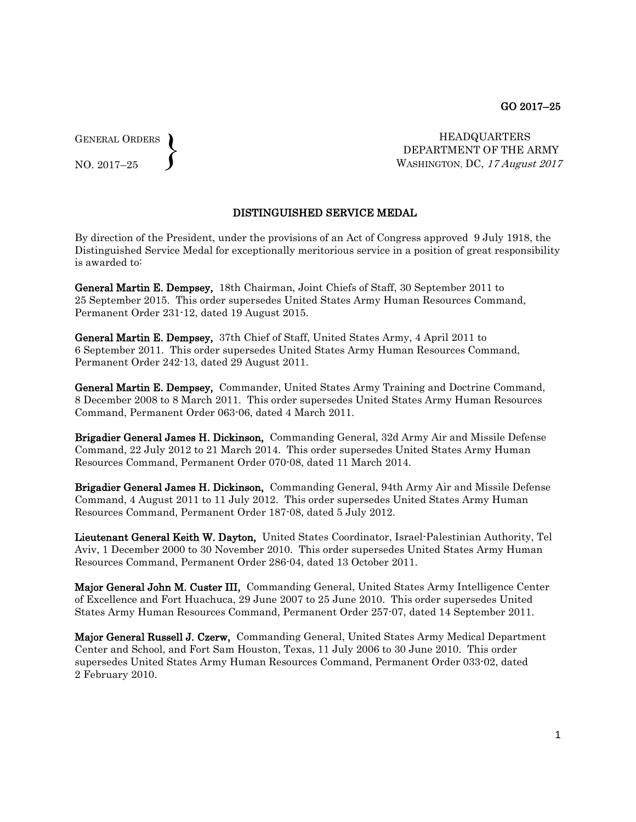GENERAL ORDERS NO. 2017–25  $\left\{ \right\}$ 

HEADQUARTERS DEPARTMENT OF THE ARMY WASHINGTON, DC, 17 August 2017

## DISTINGUISHED SERVICE MEDAL

By direction of the President, under the provisions of an Act of Congress approved 9 July 1918, the Distinguished Service Medal for exceptionally meritorious service in a position of great responsibility is awarded to:

General Martin E. Dempsey, 18th Chairman, Joint Chiefs of Staff, 30 September 2011 to 25 September 2015. This order supersedes United States Army Human Resources Command, Permanent Order 231-12, dated 19 August 2015.

General Martin E. Dempsey, 37th Chief of Staff, United States Army, 4 April 2011 to 6 September 2011. This order supersedes United States Army Human Resources Command, Permanent Order 242-13, dated 29 August 2011.

General Martin E. Dempsey, Commander, United States Army Training and Doctrine Command, 8 December 2008 to 8 March 2011. This order supersedes United States Army Human Resources Command, Permanent Order 063-06, dated 4 March 2011.

Brigadier General James H. Dickinson, Commanding General, 32d Army Air and Missile Defense Command, 22 July 2012 to 21 March 2014. This order supersedes United States Army Human Resources Command, Permanent Order 070-08, dated 11 March 2014.

Brigadier General James H. Dickinson, Commanding General, 94th Army Air and Missile Defense Command, 4 August 2011 to 11 July 2012. This order supersedes United States Army Human Resources Command, Permanent Order 187-08, dated 5 July 2012.

Lieutenant General Keith W. Dayton, United States Coordinator, Israel-Palestinian Authority, Tel Aviv, 1 December 2000 to 30 November 2010. This order supersedes United States Army Human Resources Command, Permanent Order 286-04, dated 13 October 2011.

Major General John M. Custer III, Commanding General, United States Army Intelligence Center of Excellence and Fort Huachuca, 29 June 2007 to 25 June 2010. This order supersedes United States Army Human Resources Command, Permanent Order 257-07, dated 14 September 2011.

Major General Russell J. Czerw, Commanding General, United States Army Medical Department Center and School, and Fort Sam Houston, Texas, 11 July 2006 to 30 June 2010. This order supersedes United States Army Human Resources Command, Permanent Order 033-02, dated 2 February 2010.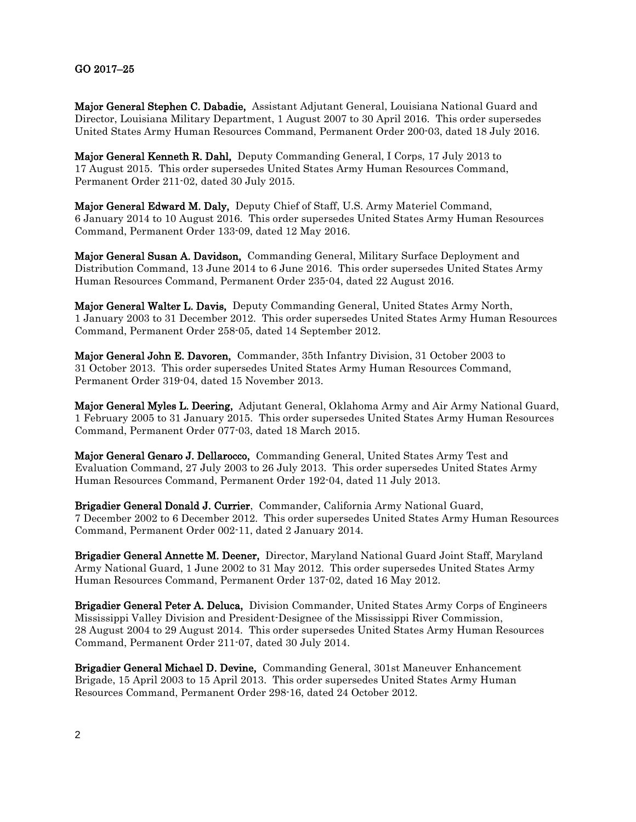## GO 2017–25

Major General Stephen C. Dabadie, Assistant Adjutant General, Louisiana National Guard and Director, Louisiana Military Department, 1 August 2007 to 30 April 2016. This order supersedes United States Army Human Resources Command, Permanent Order 200-03, dated 18 July 2016.

Major General Kenneth R. Dahl, Deputy Commanding General, I Corps, 17 July 2013 to 17 August 2015. This order supersedes United States Army Human Resources Command, Permanent Order 211-02, dated 30 July 2015.

Major General Edward M. Daly, Deputy Chief of Staff, U.S. Army Materiel Command, 6 January 2014 to 10 August 2016. This order supersedes United States Army Human Resources Command, Permanent Order 133-09, dated 12 May 2016.

Major General Susan A. Davidson, Commanding General, Military Surface Deployment and Distribution Command, 13 June 2014 to 6 June 2016. This order supersedes United States Army Human Resources Command, Permanent Order 235-04, dated 22 August 2016.

Major General Walter L. Davis, Deputy Commanding General, United States Army North, 1 January 2003 to 31 December 2012. This order supersedes United States Army Human Resources Command, Permanent Order 258-05, dated 14 September 2012.

Major General John E. Davoren, Commander, 35th Infantry Division, 31 October 2003 to 31 October 2013. This order supersedes United States Army Human Resources Command, Permanent Order 319-04, dated 15 November 2013.

Major General Myles L. Deering, Adjutant General, Oklahoma Army and Air Army National Guard, 1 February 2005 to 31 January 2015. This order supersedes United States Army Human Resources Command, Permanent Order 077-03, dated 18 March 2015.

Major General Genaro J. Dellarocco, Commanding General, United States Army Test and Evaluation Command, 27 July 2003 to 26 July 2013. This order supersedes United States Army Human Resources Command, Permanent Order 192-04, dated 11 July 2013.

Brigadier General Donald J. Currier, Commander, California Army National Guard, 7 December 2002 to 6 December 2012. This order supersedes United States Army Human Resources Command, Permanent Order 002-11, dated 2 January 2014.

Brigadier General Annette M. Deener, Director, Maryland National Guard Joint Staff, Maryland Army National Guard, 1 June 2002 to 31 May 2012. This order supersedes United States Army Human Resources Command, Permanent Order 137-02, dated 16 May 2012.

Brigadier General Peter A. Deluca, Division Commander, United States Army Corps of Engineers Mississippi Valley Division and President-Designee of the Mississippi River Commission, 28 August 2004 to 29 August 2014. This order supersedes United States Army Human Resources Command, Permanent Order 211-07, dated 30 July 2014.

Brigadier General Michael D. Devine, Commanding General, 301st Maneuver Enhancement Brigade, 15 April 2003 to 15 April 2013. This order supersedes United States Army Human Resources Command, Permanent Order 298-16, dated 24 October 2012.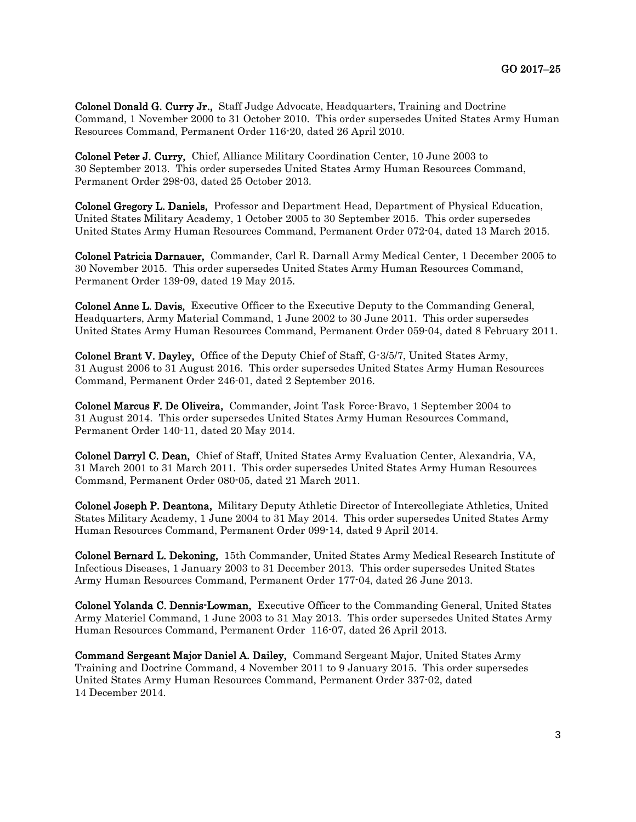**Colonel Donald G. Curry Jr.,** Staff Judge Advocate, Headquarters, Training and Doctrine Command, 1 November 2000 to 31 October 2010. This order supersedes United States Army Human Resources Command, Permanent Order 116-20, dated 26 April 2010.

Colonel Peter J. Curry, Chief, Alliance Military Coordination Center, 10 June 2003 to 30 September 2013. This order supersedes United States Army Human Resources Command, Permanent Order 298-03, dated 25 October 2013.

Colonel Gregory L. Daniels, Professor and Department Head, Department of Physical Education, United States Military Academy, 1 October 2005 to 30 September 2015. This order supersedes United States Army Human Resources Command, Permanent Order 072-04, dated 13 March 2015.

Colonel Patricia Darnauer, Commander, Carl R. Darnall Army Medical Center, 1 December 2005 to 30 November 2015. This order supersedes United States Army Human Resources Command, Permanent Order 139-09, dated 19 May 2015.

Colonel Anne L. Davis, Executive Officer to the Executive Deputy to the Commanding General, Headquarters, Army Material Command, 1 June 2002 to 30 June 2011. This order supersedes United States Army Human Resources Command, Permanent Order 059-04, dated 8 February 2011.

Colonel Brant V. Dayley, Office of the Deputy Chief of Staff, G-3/5/7, United States Army, 31 August 2006 to 31 August 2016. This order supersedes United States Army Human Resources Command, Permanent Order 246-01, dated 2 September 2016.

Colonel Marcus F. De Oliveira, Commander, Joint Task Force-Bravo, 1 September 2004 to 31 August 2014. This order supersedes United States Army Human Resources Command, Permanent Order 140-11, dated 20 May 2014.

Colonel Darryl C. Dean, Chief of Staff, United States Army Evaluation Center, Alexandria, VA, 31 March 2001 to 31 March 2011. This order supersedes United States Army Human Resources Command, Permanent Order 080-05, dated 21 March 2011.

Colonel Joseph P. Deantona, Military Deputy Athletic Director of Intercollegiate Athletics, United States Military Academy, 1 June 2004 to 31 May 2014. This order supersedes United States Army Human Resources Command, Permanent Order 099-14, dated 9 April 2014.

Colonel Bernard L. Dekoning, 15th Commander, United States Army Medical Research Institute of Infectious Diseases, 1 January 2003 to 31 December 2013. This order supersedes United States Army Human Resources Command, Permanent Order 177-04, dated 26 June 2013.

Colonel Yolanda C. Dennis-Lowman, Executive Officer to the Commanding General, United States Army Materiel Command, 1 June 2003 to 31 May 2013. This order supersedes United States Army Human Resources Command, Permanent Order 116-07, dated 26 April 2013.

Command Sergeant Major Daniel A. Dailey, Command Sergeant Major, United States Army Training and Doctrine Command, 4 November 2011 to 9 January 2015. This order supersedes United States Army Human Resources Command, Permanent Order 337-02, dated 14 December 2014.